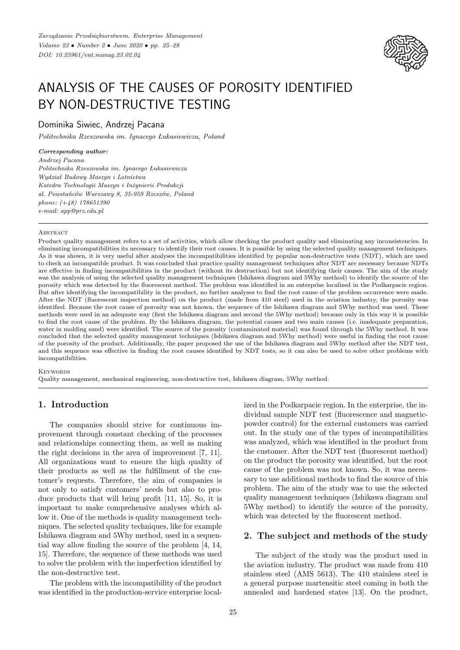

# ANALYSIS OF THE CAUSES OF POROSITY IDENTIFIED BY NON-DESTRUCTIVE TESTING

# Dominika Siwiec, Andrzej Pacana

*Politechnika Rzeszowska im. Ignacego Łukasiewicza, Poland*

#### *Corresponding author:*

*Andrzej Pacana Politechnika Rzeszowska im. Ignacego Łukasiewicza Wydział Budowy Maszyn i Lotnictwa Katedra Technologii Maszyn i Inżynierii Produkcji al. Powstańców Warszawy 8, 35-959 Rzeszów, Poland phone: (*+*48) 178651390 e-mail: app@prz.edu.pl*

#### **ABSTRACT**

Product quality management refers to a set of activities, which allow checking the product quality and eliminating any inconsistencies. In eliminating incompatibilities its necessary to identify their root causes. It is possible by using the selected quality management techniques. As it was shown, it is very useful after analyses the incompatibilities identified by popular non-destructive tests (NDT), which are used to check an incompatible product. It was concluded that practice quality management techniques after NDT are necessary because NDTs are effective in finding incompatibilities in the product (without its destruction) but not identifying their causes. The aim of the study was the analysis of using the selected quality management techniques (Ishikawa diagram and 5Why method) to identify the source of the porosity which was detected by the fluorescent method. The problem was identified in an enterprise localized in the Podkarpacie region. But after identifying the incompatibility in the product, no further analyses to find the root cause of the problem occurrence were made. After the NDT (fluorescent inspection method) on the product (made from 410 steel) used in the aviation industry, the porosity was identified. Because the root cause of porosity was not known, the sequence of the Ishikawa diagram and 5Why method was used. These methods were used in an adequate way (first the Ishikawa diagram and second the 5Why method) because only in this way it is possible to find the root cause of the problem. By the Ishikawa diagram, the potential causes and two main causes (i.e. inadequate preparation, water in molding sand) were identified. The source of the porosity (contaminated material) was found through the 5Why method. It was concluded that the selected quality management techniques (Ishikawa diagram and 5Why method) were useful in finding the root cause of the porosity of the product. Additionally, the paper proposed the use of the Ishikawa diagram and 5Why method after the NDT test, and this sequence was effective in finding the root causes identified by NDT tests, so it can also be used to solve other problems with incompatibilities.

#### **KEYWORDS**

Quality management, mechanical engineering, non-destructive test, Ishikawa diagram, 5Why method.

### **1. Introduction**

The companies should strive for continuous improvement through constant checking of the processes and relationships connecting them, as well as making the right decisions in the area of improvement [7, 11]. All organizations want to ensure the high quality of their products as well as the fulfillment of the customer's requests. Therefore, the aim of companies is not only to satisfy customers' needs but also to produce products that will bring profit [11, 15]. So, it is important to make comprehensive analyses which allow it. One of the methods is quality management techniques. The selected quality techniques, like for example Ishikawa diagram and 5Why method, used in a sequential way allow finding the source of the problem [4, 14, 15]. Therefore, the sequence of these methods was used to solve the problem with the imperfection identified by the non-destructive test.

The problem with the incompatibility of the product was identified in the production-service enterprise localized in the Podkarpacie region. In the enterprise, the individual sample NDT test (fluorescence and magneticpowder control) for the external customers was carried out. In the study one of the types of incompatibilities was analyzed, which was identified in the product from the customer. After the NDT test (fluorescent method) on the product the porosity was identified, but the root cause of the problem was not known. So, it was necessary to use additional methods to find the source of this problem. The aim of the study was to use the selected quality management techniques (Ishikawa diagram and 5Why method) to identify the source of the porosity, which was detected by the fluorescent method.

## **2. The subject and methods of the study**

The subject of the study was the product used in the aviation industry. The product was made from 410 stainless steel (AMS 5613). The 410 stainless steel is a general purpose martensitic steel coming in both the annealed and hardened states [13]. On the product,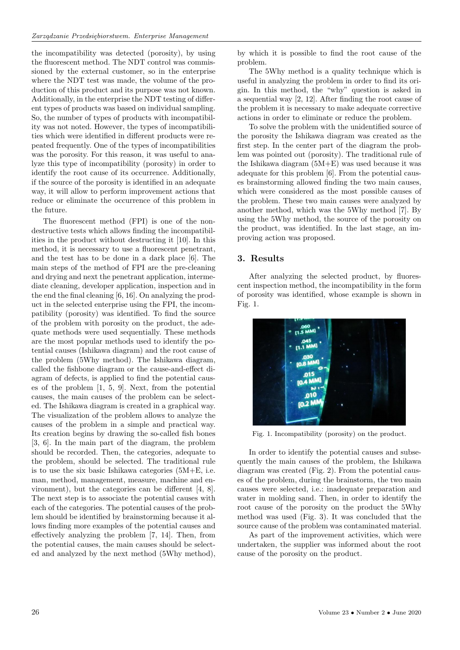the incompatibility was detected (porosity), by using the fluorescent method. The NDT control was commissioned by the external customer, so in the enterprise where the NDT test was made, the volume of the production of this product and its purpose was not known. Additionally, in the enterprise the NDT testing of different types of products was based on individual sampling. So, the number of types of products with incompatibility was not noted. However, the types of incompatibilities which were identified in different products were repeated frequently. One of the types of incompatibilities was the porosity. For this reason, it was useful to analyze this type of incompatibility (porosity) in order to identify the root cause of its occurrence. Additionally, if the source of the porosity is identified in an adequate way, it will allow to perform improvement actions that reduce or eliminate the occurrence of this problem in the future.

The fluorescent method (FPI) is one of the nondestructive tests which allows finding the incompatibilities in the product without destructing it [10]. In this method, it is necessary to use a fluorescent penetrant, and the test has to be done in a dark place [6]. The main steps of the method of FPI are the pre-cleaning and drying and next the penetrant application, intermediate cleaning, developer application, inspection and in the end the final cleaning [6, 16]. On analyzing the product in the selected enterprise using the FPI, the incompatibility (porosity) was identified. To find the source of the problem with porosity on the product, the adequate methods were used sequentially. These methods are the most popular methods used to identify the potential causes (Ishikawa diagram) and the root cause of the problem (5Why method). The Ishikawa diagram, called the fishbone diagram or the cause-and-effect diagram of defects, is applied to find the potential causes of the problem [1, 5, 9]. Next, from the potential causes, the main causes of the problem can be selected. The Ishikawa diagram is created in a graphical way. The visualization of the problem allows to analyze the causes of the problem in a simple and practical way. Its creation begins by drawing the so-called fish bones [3, 6]. In the main part of the diagram, the problem should be recorded. Then, the categories, adequate to the problem, should be selected. The traditional rule is to use the six basic Ishikawa categories (5M+E, i.e. man, method, management, measure, machine and environment), but the categories can be different [4, 8]. The next step is to associate the potential causes with each of the categories. The potential causes of the problem should be identified by brainstorming because it allows finding more examples of the potential causes and effectively analyzing the problem [7, 14]. Then, from the potential causes, the main causes should be selected and analyzed by the next method (5Why method), by which it is possible to find the root cause of the problem.

The 5Why method is a quality technique which is useful in analyzing the problem in order to find its origin. In this method, the "why" question is asked in a sequential way [2, 12]. After finding the root cause of the problem it is necessary to make adequate corrective actions in order to eliminate or reduce the problem.

To solve the problem with the unidentified source of the porosity the Ishikawa diagram was created as the first step. In the center part of the diagram the problem was pointed out (porosity). The traditional rule of the Ishikawa diagram (5M+E) was used because it was adequate for this problem [6]. From the potential causes brainstorming allowed finding the two main causes, which were considered as the most possible causes of the problem. These two main causes were analyzed by another method, which was the 5Why method [7]. By using the 5Why method, the source of the porosity on the product, was identified. In the last stage, an improving action was proposed.

#### **3. Results**

After analyzing the selected product, by fluorescent inspection method, the incompatibility in the form of porosity was identified, whose example is shown in Fig. 1.



Fig. 1. Incompatibility (porosity) on the product.

In order to identify the potential causes and subsequently the main causes of the problem, the Ishikawa diagram was created (Fig. 2). From the potential causes of the problem, during the brainstorm, the two main causes were selected, i.e.: inadequate preparation and water in molding sand. Then, in order to identify the root cause of the porosity on the product the 5Why method was used (Fig. 3). It was concluded that the source cause of the problem was contaminated material.

As part of the improvement activities, which were undertaken, the supplier was informed about the root cause of the porosity on the product.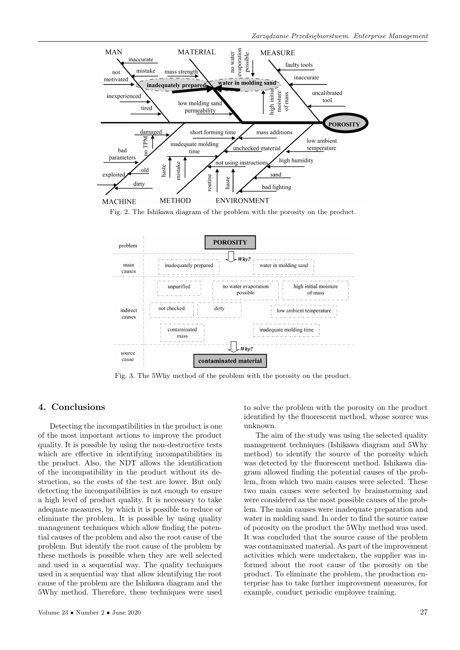

Fig. 2. The Ishikawa diagram of the problem with the porosity on the product.



Fig. 3. The 5Why method of the problem with the porosity on the product.

#### **4. Conclusions**

Detecting the incompatibilities in the product is one of the most important actions to improve the product quality. It is possible by using the non-destructive tests which are effective in identifying incompatibilities in the product. Also, the NDT allows the identification of the incompatibility in the product without its destruction, so the costs of the test are lower. But only detecting the incompatibilities is not enough to ensure a high level of product quality. It is necessary to take adequate measures, by which it is possible to reduce or eliminate the problem. It is possible by using quality management techniques which allow finding the potential causes of the problem and also the root cause of the problem. But identify the root cause of the problem by these methods is possible when they are well selected and used in a sequential way. The quality techniques used in a sequential way that allow identifying the root cause of the problem are the Ishikawa diagram and the 5Why method. Therefore, these techniques were used to solve the problem with the porosity on the product identified by the fluorescent method, whose source was unknown.

The aim of the study was using the selected quality management techniques (Ishikawa diagram and 5Why method) to identify the source of the porosity which was detected by the fluorescent method. Ishikawa diagram allowed finding the potential causes of the problem, from which two main causes were selected. These two main causes were selected by brainstorming and were considered as the most possible causes of the problem. The main causes were inadequate preparation and water in molding sand. In order to find the source cause of porosity on the product the 5Why method was used. It was concluded that the source cause of the problem was contaminated material. As part of the improvement activities which were undertaken, the supplier was informed about the root cause of the porosity on the product. To eliminate the problem, the production enterprise has to take further improvement measures, for example, conduct periodic employee training.